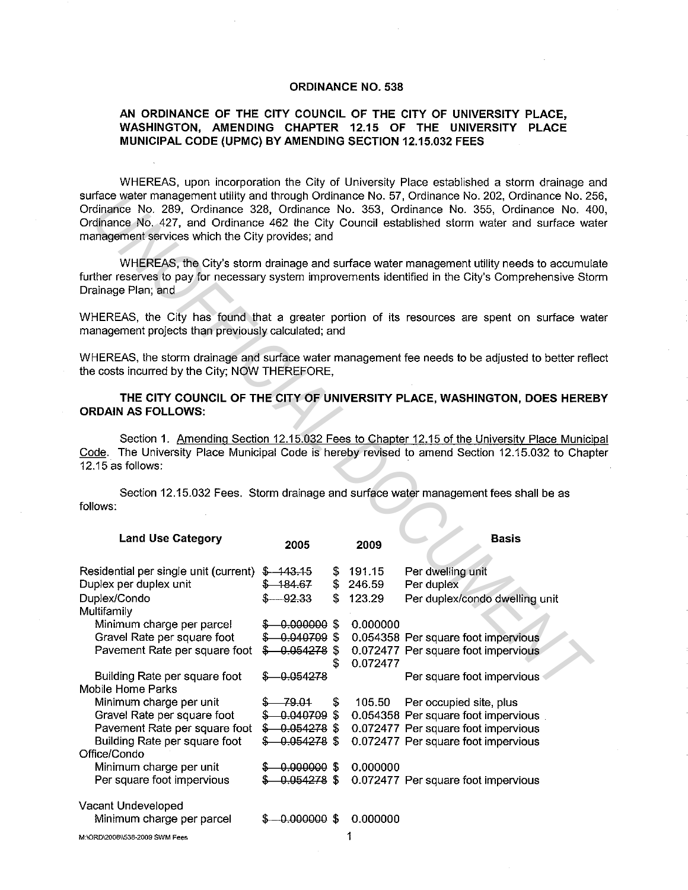## **ORDINANCE NO. 538**

## **AN ORDINANCE OF THE CITY COUNCIL OF THE CITY OF UNIVERSITY PLACE, WASHINGTON, AMENDING CHAPTER 12.15 OF THE UNIVERSITY PLACE MUNICIPAL CODE (UPMC) BY AMENDING SECTION 12.15.032 FEES**

WHEREAS, upon incorporation the City of University Place established a storm drainage and surface water management utility and through Ordinance No. 57, Ordinance No. 202, Ordinance No. 256, Ordinance No. 289, Ordinance 328, Ordinance No. 353, Ordinance No. 355, Ordinance No. 400, Ordinance No. 427, and Ordinance 462 the City Council established storm water and surface water management services which the City provides; and

| management services which the City provides; and                                                         |                                                         |                                  | surface water management utility and through Ordinance No. 57, Ordinance No. 202, Ordinance No. 2<br>Ordinance No. 289, Ordinance 328, Ordinance No. 353, Ordinance No. 355, Ordinance No. 4<br>Ordinance No. 427, and Ordinance 462 the City Council established storm water and surface wa |
|----------------------------------------------------------------------------------------------------------|---------------------------------------------------------|----------------------------------|----------------------------------------------------------------------------------------------------------------------------------------------------------------------------------------------------------------------------------------------------------------------------------------------|
| Drainage Plan; and                                                                                       |                                                         |                                  | WHEREAS, the City's storm drainage and surface water management utility needs to accumula<br>further reserves to pay for necessary system improvements identified in the City's Comprehensive Sto                                                                                            |
| management projects than previously calculated; and                                                      |                                                         |                                  | WHEREAS, the City has found that a greater portion of its resources are spent on surface wa                                                                                                                                                                                                  |
| the costs incurred by the City; NOW THEREFORE,                                                           |                                                         |                                  | WHEREAS, the storm drainage and surface water management fee needs to be adjusted to better refi-                                                                                                                                                                                            |
| <b>ORDAIN AS FOLLOWS:</b>                                                                                |                                                         |                                  | THE CITY COUNCIL OF THE CITY OF UNIVERSITY PLACE, WASHINGTON, DOES HERE!                                                                                                                                                                                                                     |
| 12.15 as follows:                                                                                        |                                                         |                                  | Section 1. Amending Section 12.15.032 Fees to Chapter 12.15 of the University Place Munici<br>Code. The University Place Municipal Code is hereby revised to amend Section 12.15.032 to Chap                                                                                                 |
| follows:                                                                                                 |                                                         |                                  | Section 12.15.032 Fees. Storm drainage and surface water management fees shall be as                                                                                                                                                                                                         |
| <b>Land Use Category</b>                                                                                 | 2005                                                    | 2009                             | <b>Basis</b>                                                                                                                                                                                                                                                                                 |
| Residential per single unit (current) \$ 443.45<br>Duplex per duplex unit<br>Duplex/Condo<br>Multifamily | $$-184.67$<br>92.33                                     | \$191.15<br>\$246.59<br>\$123.29 | Per dwelling unit<br>Per duplex<br>Per duplex/condo dwelling unit                                                                                                                                                                                                                            |
| Minimum charge per parcel<br>Gravel Rate per square foot<br>Pavement Rate per square foot                | $$ -0.000000$ \$<br>$$ -0.040709$ \$<br>$$-0.054278$ \$ | \$<br>0.000000<br>0.072477       | 0.054358 Per square foot impervious<br>0.072477 Per square foot impervious                                                                                                                                                                                                                   |
| Building Rate per square foot<br>Mobile Home Parks<br>Minimum charge per unit                            | \$-0.054278<br>79.01                                    | \$<br>105.50                     | Per square foot impervious<br>Per occupied site, plus                                                                                                                                                                                                                                        |
| Gravel Rate per square foot<br>Pavement Rate per square foot<br>Building Rate per square foot            | 0.040709 \$<br>$$ -0.054278$ \$<br>$$ -0.054278$ \$     |                                  | 0.054358 Per square foot impervious<br>0.072477 Per square foot impervious<br>0.072477 Per square foot impervious                                                                                                                                                                            |
| Office/Condo<br>Minimum charge per unit<br>Per square foot impervious                                    | $-0.000000$ \$<br>$-0.054278$ \$                        | 0.000000                         | 0.072477 Per square foot impervious                                                                                                                                                                                                                                                          |
| Vacant Undeveloped<br>Minimum charge per parcel                                                          | $$ -0.000000$ \$                                        | 0.000000                         |                                                                                                                                                                                                                                                                                              |
|                                                                                                          |                                                         | 1                                |                                                                                                                                                                                                                                                                                              |